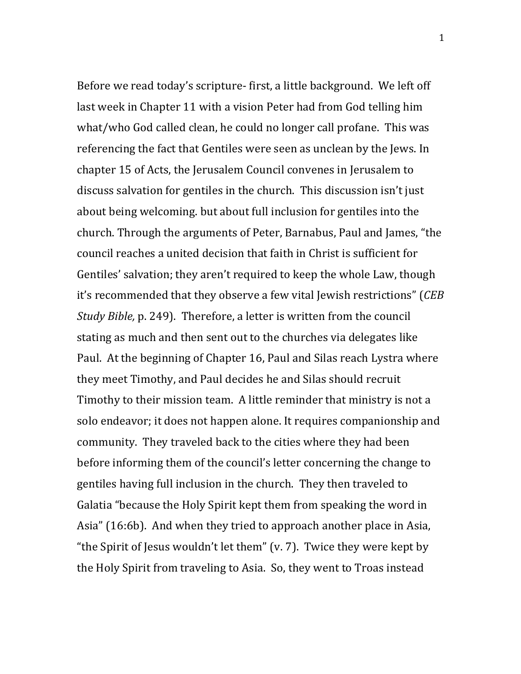Before we read today's scripture- first, a little background. We left off last week in Chapter 11 with a vision Peter had from God telling him what/who God called clean, he could no longer call profane. This was referencing the fact that Gentiles were seen as unclean by the Jews. In chapter 15 of Acts, the Jerusalem Council convenes in Jerusalem to discuss salvation for gentiles in the church. This discussion isn't just about being welcoming. but about full inclusion for gentiles into the church. Through the arguments of Peter, Barnabus, Paul and James, "the council reaches a united decision that faith in Christ is sufficient for Gentiles' salvation; they aren't required to keep the whole Law, though it's recommended that they observe a few vital Jewish restrictions" (*CEB Study Bible,* p. 249). Therefore, a letter is written from the council stating as much and then sent out to the churches via delegates like Paul. At the beginning of Chapter 16, Paul and Silas reach Lystra where they meet Timothy, and Paul decides he and Silas should recruit Timothy to their mission team. A little reminder that ministry is not a solo endeavor; it does not happen alone. It requires companionship and community. They traveled back to the cities where they had been before informing them of the council's letter concerning the change to gentiles having full inclusion in the church. They then traveled to Galatia "because the Holy Spirit kept them from speaking the word in Asia" (16:6b). And when they tried to approach another place in Asia, "the Spirit of Jesus wouldn't let them"  $(v. 7)$ . Twice they were kept by the Holy Spirit from traveling to Asia. So, they went to Troas instead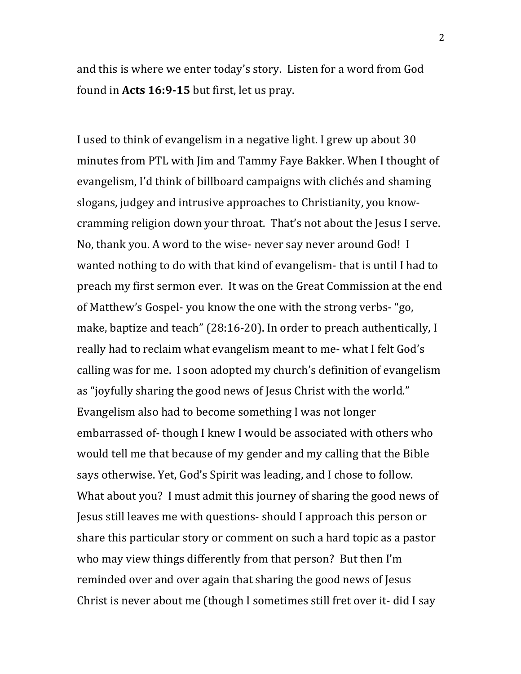and this is where we enter today's story. Listen for a word from God found in Acts 16:9-15 but first, let us pray.

I used to think of evangelism in a negative light. I grew up about 30 minutes from PTL with Jim and Tammy Faye Bakker. When I thought of evangelism, I'd think of billboard campaigns with clichés and shaming slogans, judgey and intrusive approaches to Christianity, you knowcramming religion down your throat. That's not about the Jesus I serve. No, thank you. A word to the wise- never say never around God! I wanted nothing to do with that kind of evangelism- that is until I had to preach my first sermon ever. It was on the Great Commission at the end of Matthew's Gospel- you know the one with the strong verbs- "go, make, baptize and teach" (28:16-20). In order to preach authentically, I really had to reclaim what evangelism meant to me- what I felt God's calling was for me. I soon adopted my church's definition of evangelism as "joyfully sharing the good news of Jesus Christ with the world." Evangelism also had to become something I was not longer embarrassed of-though I knew I would be associated with others who would tell me that because of my gender and my calling that the Bible says otherwise. Yet, God's Spirit was leading, and I chose to follow. What about you? I must admit this journey of sharing the good news of Jesus still leaves me with questions- should I approach this person or share this particular story or comment on such a hard topic as a pastor who may view things differently from that person? But then I'm reminded over and over again that sharing the good news of Jesus Christ is never about me (though I sometimes still fret over it- did I say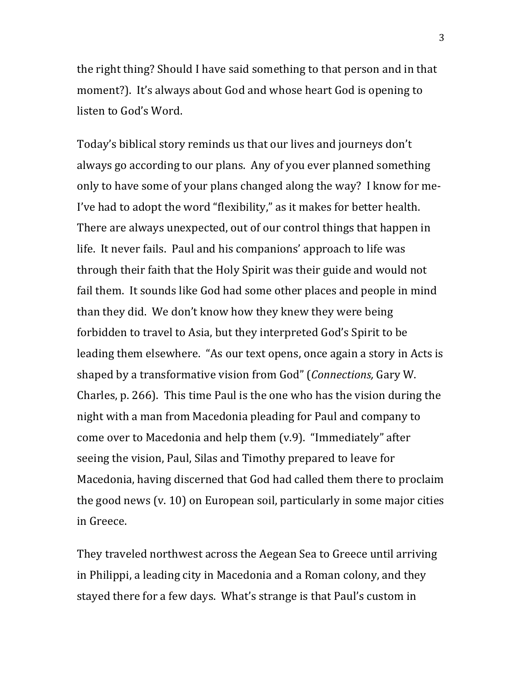the right thing? Should I have said something to that person and in that moment?). It's always about God and whose heart God is opening to listen to God's Word.

Today's biblical story reminds us that our lives and journeys don't always go according to our plans. Any of you ever planned something only to have some of your plans changed along the way? I know for me-I've had to adopt the word "flexibility," as it makes for better health. There are always unexpected, out of our control things that happen in life. It never fails. Paul and his companions' approach to life was through their faith that the Holy Spirit was their guide and would not fail them. It sounds like God had some other places and people in mind than they did. We don't know how they knew they were being forbidden to travel to Asia, but they interpreted God's Spirit to be leading them elsewhere. "As our text opens, once again a story in Acts is shaped by a transformative vision from God" (*Connections*, Gary W. Charles, p. 266). This time Paul is the one who has the vision during the night with a man from Macedonia pleading for Paul and company to come over to Macedonia and help them (v.9). "Immediately" after seeing the vision, Paul, Silas and Timothy prepared to leave for Macedonia, having discerned that God had called them there to proclaim the good news  $(v. 10)$  on European soil, particularly in some major cities in Greece. 

They traveled northwest across the Aegean Sea to Greece until arriving in Philippi, a leading city in Macedonia and a Roman colony, and they stayed there for a few days. What's strange is that Paul's custom in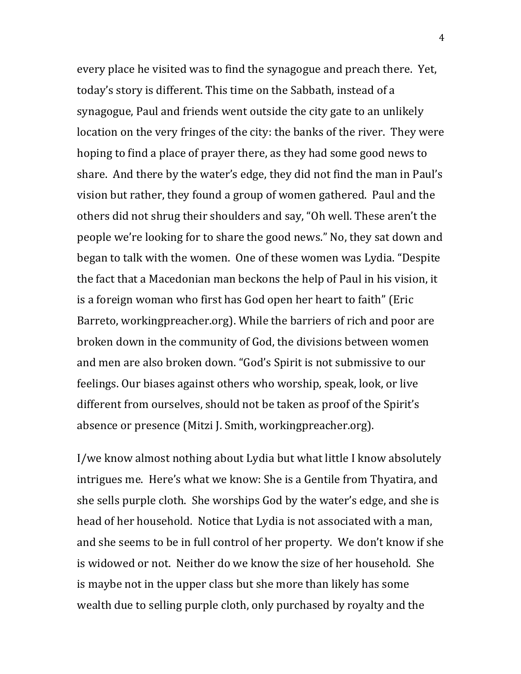every place he visited was to find the synagogue and preach there. Yet, today's story is different. This time on the Sabbath, instead of a synagogue, Paul and friends went outside the city gate to an unlikely location on the very fringes of the city: the banks of the river. They were hoping to find a place of prayer there, as they had some good news to share. And there by the water's edge, they did not find the man in Paul's vision but rather, they found a group of women gathered. Paul and the others did not shrug their shoulders and say, "Oh well. These aren't the people we're looking for to share the good news." No, they sat down and began to talk with the women. One of these women was Lydia. "Despite the fact that a Macedonian man beckons the help of Paul in his vision, it is a foreign woman who first has God open her heart to faith" (Eric Barreto, workingpreacher.org). While the barriers of rich and poor are broken down in the community of God, the divisions between women and men are also broken down. "God's Spirit is not submissive to our feelings. Our biases against others who worship, speak, look, or live different from ourselves, should not be taken as proof of the Spirit's absence or presence (Mitzi J. Smith, workingpreacher.org).

I/we know almost nothing about Lydia but what little I know absolutely intrigues me. Here's what we know: She is a Gentile from Thyatira, and she sells purple cloth. She worships God by the water's edge, and she is head of her household. Notice that Lydia is not associated with a man, and she seems to be in full control of her property. We don't know if she is widowed or not. Neither do we know the size of her household. She is maybe not in the upper class but she more than likely has some wealth due to selling purple cloth, only purchased by royalty and the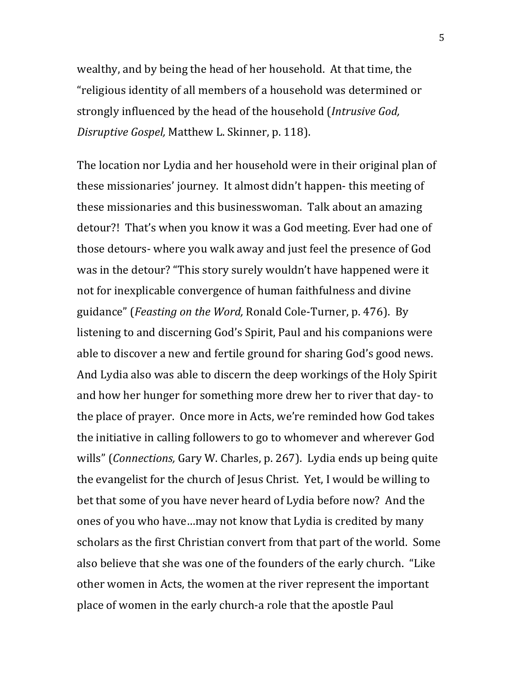wealthy, and by being the head of her household. At that time, the "religious identity of all members of a household was determined or strongly influenced by the head of the household (*Intrusive God, Disruptive Gospel,* Matthew L. Skinner, p. 118).

The location nor Lydia and her household were in their original plan of these missionaries' journey. It almost didn't happen- this meeting of these missionaries and this businesswoman. Talk about an amazing detour?! That's when you know it was a God meeting. Ever had one of those detours- where you walk away and just feel the presence of God was in the detour? "This story surely wouldn't have happened were it not for inexplicable convergence of human faithfulness and divine guidance" (*Feasting on the Word,* Ronald Cole-Turner, p. 476). By listening to and discerning God's Spirit, Paul and his companions were able to discover a new and fertile ground for sharing God's good news. And Lydia also was able to discern the deep workings of the Holy Spirit and how her hunger for something more drew her to river that day- to the place of prayer. Once more in Acts, we're reminded how God takes the initiative in calling followers to go to whomever and wherever God wills" (*Connections*, Gary W. Charles, p. 267). Lydia ends up being quite the evangelist for the church of Jesus Christ. Yet, I would be willing to bet that some of you have never heard of Lydia before now? And the ones of you who have...may not know that Lydia is credited by many scholars as the first Christian convert from that part of the world. Some also believe that she was one of the founders of the early church. "Like other women in Acts, the women at the river represent the important place of women in the early church-a role that the apostle Paul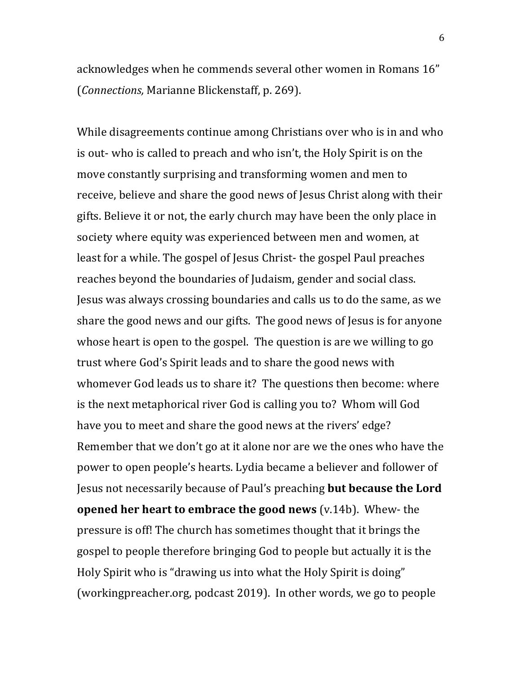acknowledges when he commends several other women in Romans 16" (*Connections*, Marianne Blickenstaff, p. 269).

While disagreements continue among Christians over who is in and who is out- who is called to preach and who isn't, the Holy Spirit is on the move constantly surprising and transforming women and men to receive, believe and share the good news of Jesus Christ along with their gifts. Believe it or not, the early church may have been the only place in society where equity was experienced between men and women, at least for a while. The gospel of Jesus Christ- the gospel Paul preaches reaches beyond the boundaries of Judaism, gender and social class. Jesus was always crossing boundaries and calls us to do the same, as we share the good news and our gifts. The good news of Jesus is for anyone whose heart is open to the gospel. The question is are we willing to go trust where God's Spirit leads and to share the good news with whomever God leads us to share it? The questions then become: where is the next metaphorical river God is calling you to? Whom will God have you to meet and share the good news at the rivers' edge? Remember that we don't go at it alone nor are we the ones who have the power to open people's hearts. Lydia became a believer and follower of Jesus not necessarily because of Paul's preaching **but because the Lord opened her heart to embrace the good news** (v.14b). Whew- the pressure is off! The church has sometimes thought that it brings the gospel to people therefore bringing God to people but actually it is the Holy Spirit who is "drawing us into what the Holy Spirit is doing" (workingpreacher.org, podcast 2019). In other words, we go to people